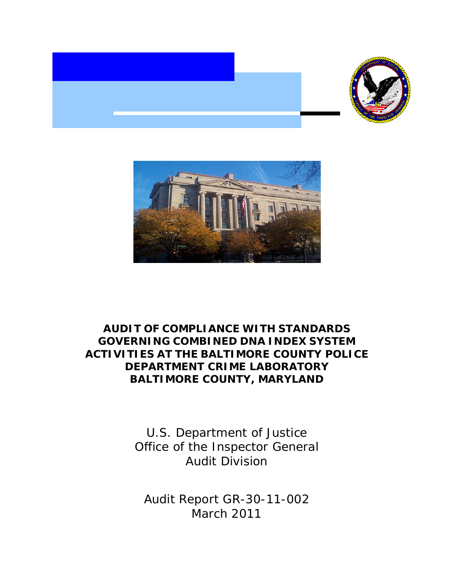



## **AUDIT OF COMPLIANCE WITH STANDARDS GOVERNING COMBINED DNA INDEX SYSTEM ACTIVITIES AT THE BALTIMORE COUNTY POLICE DEPARTMENT CRIME LABORATORY BALTIMORE COUNTY, MARYLAND**

U.S. Department of Justice Office of the Inspector General Audit Division

Audit Report GR-30-11-002 March 2011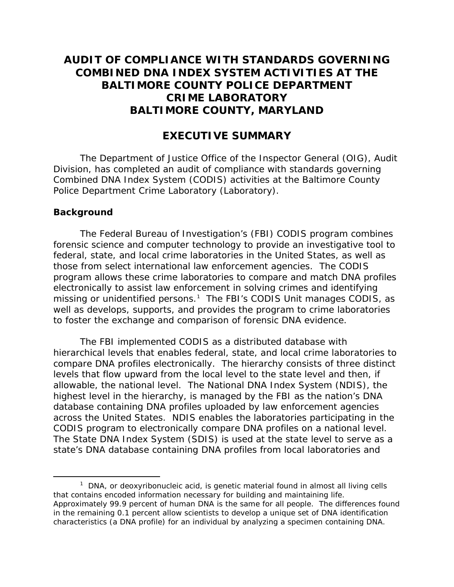## **AUDIT OF COMPLIANCE WITH STANDARDS GOVERNING COMBINED DNA INDEX SYSTEM ACTIVITIES AT THE BALTIMORE COUNTY POLICE DEPARTMENT CRIME LABORATORY BALTIMORE COUNTY, MARYLAND**

### **EXECUTIVE SUMMARY**

The Department of Justice Office of the Inspector General (OIG), Audit Division, has completed an audit of compliance with standards governing Combined DNA Index System (CODIS) activities at the Baltimore County Police Department Crime Laboratory (Laboratory).

#### **Background**

The Federal Bureau of Investigation's (FBI) CODIS program combines forensic science and computer technology to provide an investigative tool to federal, state, and local crime laboratories in the United States, as well as those from select international law enforcement agencies. The CODIS program allows these crime laboratories to compare and match DNA profiles electronically to assist law enforcement in solving crimes and identifying missing or unidentified persons.<sup>[1](#page-1-0)</sup> The FBI's CODIS Unit manages CODIS, as well as develops, supports, and provides the program to crime laboratories to foster the exchange and comparison of forensic DNA evidence.

The FBI implemented CODIS as a distributed database with hierarchical levels that enables federal, state, and local crime laboratories to compare DNA profiles electronically. The hierarchy consists of three distinct levels that flow upward from the local level to the state level and then, if allowable, the national level. The National DNA Index System (NDIS), the highest level in the hierarchy, is managed by the FBI as the nation's DNA database containing DNA profiles uploaded by law enforcement agencies across the United States. NDIS enables the laboratories participating in the CODIS program to electronically compare DNA profiles on a national level. The State DNA Index System (SDIS) is used at the state level to serve as a state's DNA database containing DNA profiles from local laboratories and

<span id="page-1-0"></span> $\overline{\phantom{a}}$  1  $1$  DNA, or deoxyribonucleic acid, is genetic material found in almost all living cells that contains encoded information necessary for building and maintaining life. Approximately 99.9 percent of human DNA is the same for all people. The differences found in the remaining 0.1 percent allow scientists to develop a unique set of DNA identification characteristics (a DNA profile) for an individual by analyzing a specimen containing DNA.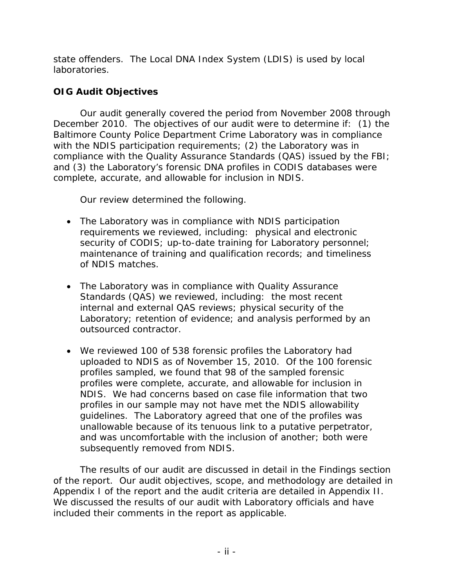state offenders. The Local DNA Index System (LDIS) is used by local laboratories.

## **OIG Audit Objectives**

Our audit generally covered the period from November 2008 through December 2010. The objectives of our audit were to determine if: (1) the Baltimore County Police Department Crime Laboratory was in compliance with the NDIS participation requirements; (2) the Laboratory was in compliance with the Quality Assurance Standards (QAS) issued by the FBI; and (3) the Laboratory's forensic DNA profiles in CODIS databases were complete, accurate, and allowable for inclusion in NDIS.

Our review determined the following.

- The Laboratory was in compliance with NDIS participation requirements we reviewed, including: physical and electronic security of CODIS; up-to-date training for Laboratory personnel; maintenance of training and qualification records; and timeliness of NDIS matches.
- The Laboratory was in compliance with Quality Assurance Standards (QAS) we reviewed, including: the most recent internal and external QAS reviews; physical security of the Laboratory; retention of evidence; and analysis performed by an outsourced contractor.
- We reviewed 100 of 538 forensic profiles the Laboratory had uploaded to NDIS as of November 15, 2010. Of the 100 forensic profiles sampled, we found that 98 of the sampled forensic profiles were complete, accurate, and allowable for inclusion in NDIS. We had concerns based on case file information that two profiles in our sample may not have met the NDIS allowability guidelines. The Laboratory agreed that one of the profiles was unallowable because of its tenuous link to a putative perpetrator, and was uncomfortable with the inclusion of another; both were subsequently removed from NDIS.

The results of our audit are discussed in detail in the Findings section of the report. Our audit objectives, scope, and methodology are detailed in Appendix I of the report and the audit criteria are detailed in Appendix II. We discussed the results of our audit with Laboratory officials and have included their comments in the report as applicable.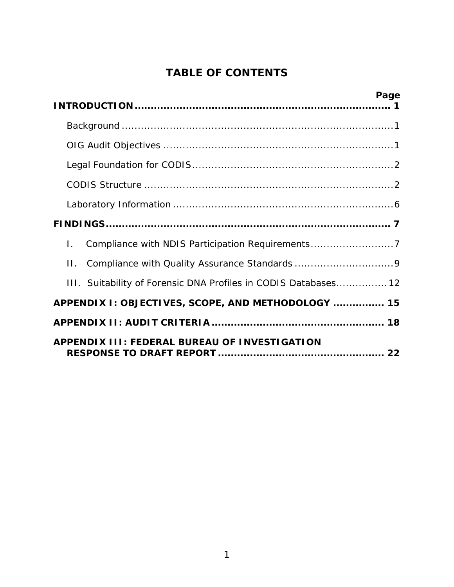# **TABLE OF CONTENTS**

| Page                                                             |
|------------------------------------------------------------------|
|                                                                  |
|                                                                  |
|                                                                  |
|                                                                  |
|                                                                  |
|                                                                  |
| Compliance with NDIS Participation Requirements7<br>$\mathbf{L}$ |
| $\Pi$ .                                                          |
| III. Suitability of Forensic DNA Profiles in CODIS Databases 12  |
| APPENDIX I: OBJECTIVES, SCOPE, AND METHODOLOGY  15               |
|                                                                  |
| <b>APPENDIX III: FEDERAL BUREAU OF INVESTIGATION</b>             |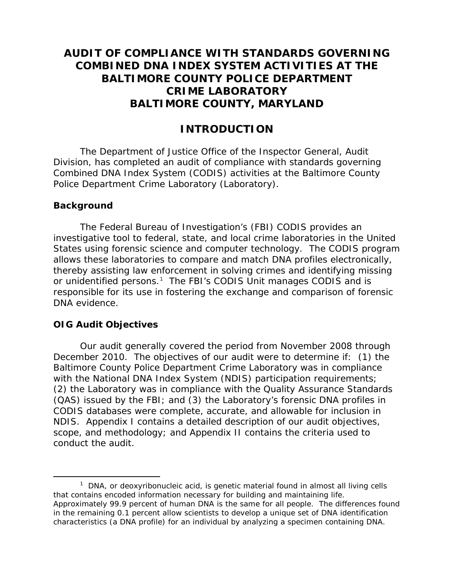## <span id="page-4-0"></span>**AUDIT OF COMPLIANCE WITH STANDARDS GOVERNING COMBINED DNA INDEX SYSTEM ACTIVITIES AT THE BALTIMORE COUNTY POLICE DEPARTMENT CRIME LABORATORY BALTIMORE COUNTY, MARYLAND**

## **INTRODUCTION**

The Department of Justice Office of the Inspector General, Audit Division, has completed an audit of compliance with standards governing Combined DNA Index System (CODIS) activities at the Baltimore County Police Department Crime Laboratory (Laboratory).

#### **Background**

The Federal Bureau of Investigation's (FBI) CODIS provides an investigative tool to federal, state, and local crime laboratories in the United States using forensic science and computer technology. The CODIS program allows these laboratories to compare and match DNA profiles electronically, thereby assisting law enforcement in solving crimes and identifying missing or unidentified persons.<sup>[1](#page-4-2)</sup> The FBI's CODIS Unit manages CODIS and is responsible for its use in fostering the exchange and comparison of forensic DNA evidence.

### **OIG Audit Objectives**

Our audit generally covered the period from November 2008 through December 2010. The objectives of our audit were to determine if: (1) the Baltimore County Police Department Crime Laboratory was in compliance with the National DNA Index System (NDIS) participation requirements; (2) the Laboratory was in compliance with the Quality Assurance Standards (QAS) issued by the FBI; and (3) the Laboratory's forensic DNA profiles in CODIS databases were complete, accurate, and allowable for inclusion in NDIS. Appendix I contains a detailed description of our audit objectives, scope, and methodology; and Appendix II contains the criteria used to conduct the audit.

<span id="page-4-2"></span><span id="page-4-1"></span> $\overline{\phantom{a}}$  1  $1$  DNA, or deoxyribonucleic acid, is genetic material found in almost all living cells that contains encoded information necessary for building and maintaining life. Approximately 99.9 percent of human DNA is the same for all people. The differences found in the remaining 0.1 percent allow scientists to develop a unique set of DNA identification characteristics (a DNA profile) for an individual by analyzing a specimen containing DNA.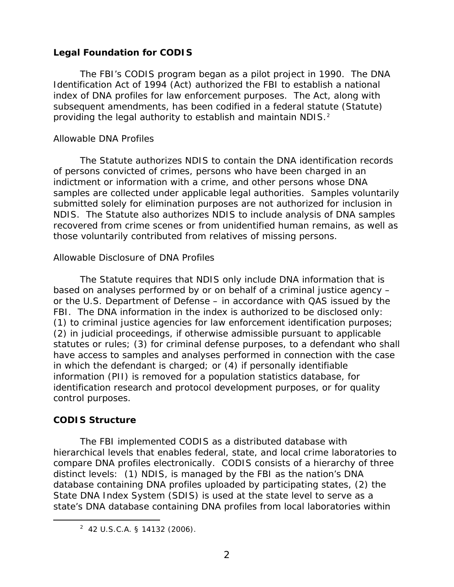#### **Legal Foundation for CODIS**

The FBI's CODIS program began as a pilot project in 1990. The DNA Identification Act of 1994 (Act) authorized the FBI to establish a national index of DNA profiles for law enforcement purposes. The Act, along with subsequent amendments, has been codified in a federal statute (Statute) providing the legal authority to establish and maintain NDIS.<sup>[2](#page-5-1)</sup>

#### *Allowable DNA Profiles*

The Statute authorizes NDIS to contain the DNA identification records of persons convicted of crimes, persons who have been charged in an indictment or information with a crime, and other persons whose DNA samples are collected under applicable legal authorities. Samples voluntarily submitted solely for elimination purposes are not authorized for inclusion in NDIS. The Statute also authorizes NDIS to include analysis of DNA samples recovered from crime scenes or from unidentified human remains, as well as those voluntarily contributed from relatives of missing persons.

#### *Allowable Disclosure of DNA Profiles*

The Statute requires that NDIS only include DNA information that is based on analyses performed by or on behalf of a criminal justice agency – or the U.S. Department of Defense – in accordance with QAS issued by the FBI. The DNA information in the index is authorized to be disclosed only: (1) to criminal justice agencies for law enforcement identification purposes; (2) in judicial proceedings, if otherwise admissible pursuant to applicable statutes or rules; (3) for criminal defense purposes, to a defendant who shall have access to samples and analyses performed in connection with the case in which the defendant is charged; or (4) if personally identifiable information (PII) is removed for a population statistics database, for identification research and protocol development purposes, or for quality control purposes.

### <span id="page-5-0"></span>**CODIS Structure**

The FBI implemented CODIS as a distributed database with hierarchical levels that enables federal, state, and local crime laboratories to compare DNA profiles electronically. CODIS consists of a hierarchy of three distinct levels: (1) NDIS, is managed by the FBI as the nation's DNA database containing DNA profiles uploaded by participating states, (2) the State DNA Index System (SDIS) is used at the state level to serve as a state's DNA database containing DNA profiles from local laboratories within

<span id="page-5-1"></span> $\overline{\phantom{a}}$  2  $2$  42 U.S.C.A. § 14132 (2006).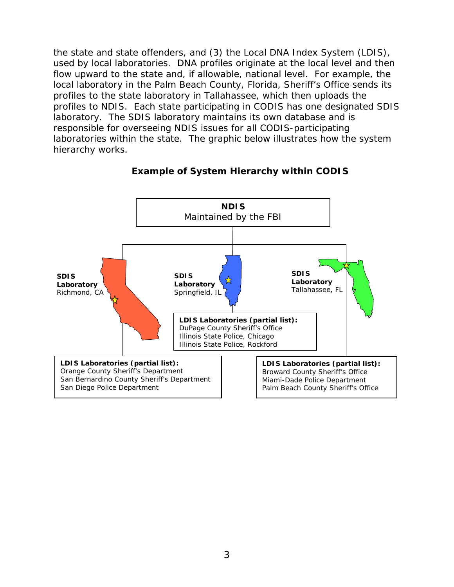the state and state offenders, and (3) the Local DNA Index System (LDIS), used by local laboratories. DNA profiles originate at the local level and then flow upward to the state and, if allowable, national level. For example, the local laboratory in the Palm Beach County, Florida, Sheriff's Office sends its profiles to the state laboratory in Tallahassee, which then uploads the profiles to NDIS. Each state participating in CODIS has one designated SDIS laboratory. The SDIS laboratory maintains its own database and is responsible for overseeing NDIS issues for all CODIS-participating laboratories within the state. The graphic below illustrates how the system hierarchy works.



#### **Example of System Hierarchy within CODIS**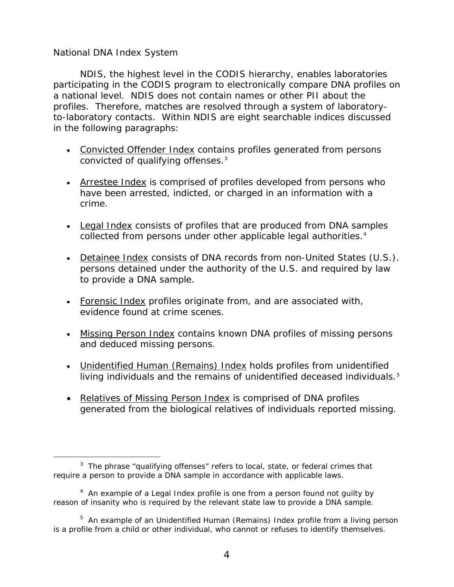#### *National DNA Index System*

NDIS, the highest level in the CODIS hierarchy, enables laboratories participating in the CODIS program to electronically compare DNA profiles on a national level. NDIS does not contain names or other PII about the profiles. Therefore, matches are resolved through a system of laboratoryto-laboratory contacts. Within NDIS are eight searchable indices discussed in the following paragraphs:

- Convicted Offender Index contains profiles generated from persons convicted of qualifying offenses.<sup>[3](#page-7-0)</sup>
- Arrestee Index is comprised of profiles developed from persons who have been arrested, indicted, or charged in an information with a crime.
- Legal Index consists of profiles that are produced from DNA samples collected from persons under other applicable legal authorities.<sup>[4](#page-7-1)</sup>
- Detainee Index consists of DNA records from non-United States (U.S.). persons detained under the authority of the U.S. and required by law to provide a DNA sample.
- Forensic Index profiles originate from, and are associated with, evidence found at crime scenes.
- Missing Person Index contains known DNA profiles of missing persons and deduced missing persons.
- Unidentified Human (Remains) Index holds profiles from unidentified living individuals and the remains of unidentified deceased individuals.<sup>[5](#page-7-2)</sup>
- Relatives of Missing Person Index is comprised of DNA profiles generated from the biological relatives of individuals reported missing.

<span id="page-7-0"></span> $\frac{1}{3}$  $3$  The phrase "qualifying offenses" refers to local, state, or federal crimes that require a person to provide a DNA sample in accordance with applicable laws.

<span id="page-7-1"></span> $4$  An example of a Legal Index profile is one from a person found not guilty by reason of insanity who is required by the relevant state law to provide a DNA sample.

<span id="page-7-2"></span><sup>&</sup>lt;sup>5</sup> An example of an Unidentified Human (Remains) Index profile from a living person is a profile from a child or other individual, who cannot or refuses to identify themselves.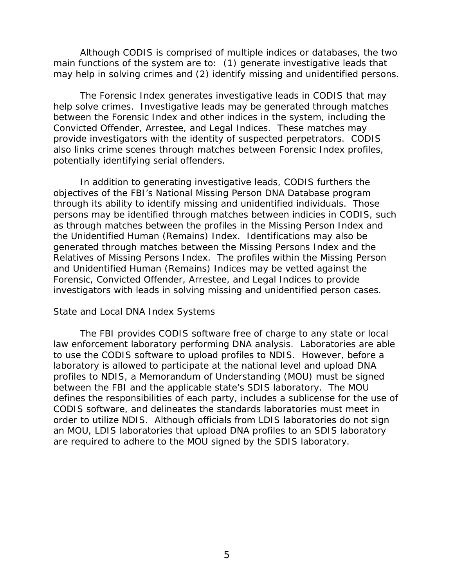Although CODIS is comprised of multiple indices or databases, the two main functions of the system are to: (1) generate investigative leads that may help in solving crimes and (2) identify missing and unidentified persons.

The Forensic Index generates investigative leads in CODIS that may help solve crimes. Investigative leads may be generated through matches between the Forensic Index and other indices in the system, including the Convicted Offender, Arrestee, and Legal Indices. These matches may provide investigators with the identity of suspected perpetrators. CODIS also links crime scenes through matches between Forensic Index profiles, potentially identifying serial offenders.

In addition to generating investigative leads, CODIS furthers the objectives of the FBI's National Missing Person DNA Database program through its ability to identify missing and unidentified individuals. Those persons may be identified through matches between indicies in CODIS, such as through matches between the profiles in the Missing Person Index and the Unidentified Human (Remains) Index. Identifications may also be generated through matches between the Missing Persons Index and the Relatives of Missing Persons Index. The profiles within the Missing Person and Unidentified Human (Remains) Indices may be vetted against the Forensic, Convicted Offender, Arrestee, and Legal Indices to provide investigators with leads in solving missing and unidentified person cases.

#### *State and Local DNA Index Systems*

The FBI provides CODIS software free of charge to any state or local law enforcement laboratory performing DNA analysis. Laboratories are able to use the CODIS software to upload profiles to NDIS. However, before a laboratory is allowed to participate at the national level and upload DNA profiles to NDIS, a Memorandum of Understanding (MOU) must be signed between the FBI and the applicable state's SDIS laboratory. The MOU defines the responsibilities of each party, includes a sublicense for the use of CODIS software, and delineates the standards laboratories must meet in order to utilize NDIS. Although officials from LDIS laboratories do not sign an MOU, LDIS laboratories that upload DNA profiles to an SDIS laboratory are required to adhere to the MOU signed by the SDIS laboratory.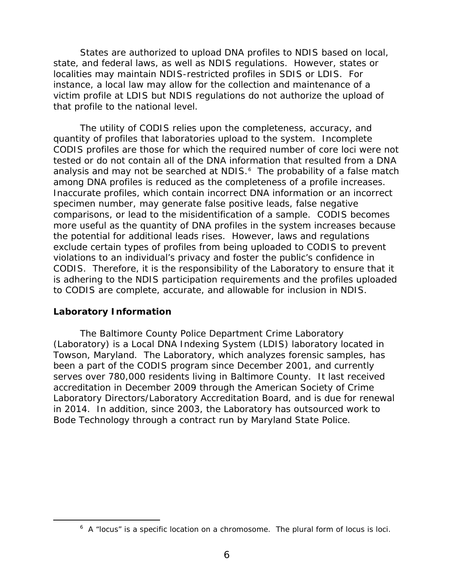States are authorized to upload DNA profiles to NDIS based on local, state, and federal laws, as well as NDIS regulations. However, states or localities may maintain NDIS-restricted profiles in SDIS or LDIS. For instance, a local law may allow for the collection and maintenance of a victim profile at LDIS but NDIS regulations do not authorize the upload of that profile to the national level.

The utility of CODIS relies upon the completeness, accuracy, and quantity of profiles that laboratories upload to the system. Incomplete CODIS profiles are those for which the required number of core loci were not tested or do not contain all of the DNA information that resulted from a DNA analysis and may not be searched at NDIS.<sup>[6](#page-9-1)</sup> The probability of a false match among DNA profiles is reduced as the completeness of a profile increases. Inaccurate profiles, which contain incorrect DNA information or an incorrect specimen number, may generate false positive leads, false negative comparisons, or lead to the misidentification of a sample. CODIS becomes more useful as the quantity of DNA profiles in the system increases because the potential for additional leads rises. However, laws and regulations exclude certain types of profiles from being uploaded to CODIS to prevent violations to an individual's privacy and foster the public's confidence in CODIS. Therefore, it is the responsibility of the Laboratory to ensure that it is adhering to the NDIS participation requirements and the profiles uploaded to CODIS are complete, accurate, and allowable for inclusion in NDIS.

#### <span id="page-9-0"></span>**Laboratory Information**

The Baltimore County Police Department Crime Laboratory (Laboratory) is a Local DNA Indexing System (LDIS) laboratory located in Towson, Maryland. The Laboratory, which analyzes forensic samples, has been a part of the CODIS program since December 2001, and currently serves over 780,000 residents living in Baltimore County. It last received accreditation in December 2009 through the American Society of Crime Laboratory Directors/Laboratory Accreditation Board, and is due for renewal in 2014. In addition, since 2003, the Laboratory has outsourced work to Bode Technology through a contract run by Maryland State Police.

<span id="page-9-1"></span> $\overline{\phantom{0}}$  $6$  A "locus" is a specific location on a chromosome. The plural form of locus is loci.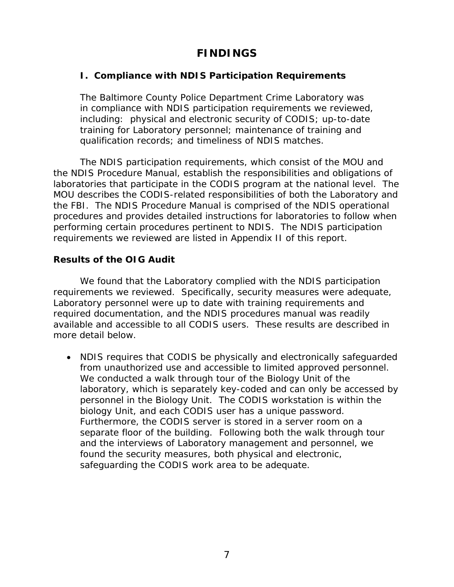## **FINDINGS**

### <span id="page-10-1"></span><span id="page-10-0"></span>**I. Compliance with NDIS Participation Requirements**

The Baltimore County Police Department Crime Laboratory was in compliance with NDIS participation requirements we reviewed, including: physical and electronic security of CODIS; up-to-date training for Laboratory personnel; maintenance of training and qualification records; and timeliness of NDIS matches.

The NDIS participation requirements, which consist of the MOU and the NDIS Procedure Manual, establish the responsibilities and obligations of laboratories that participate in the CODIS program at the national level. The MOU describes the CODIS-related responsibilities of both the Laboratory and the FBI. The NDIS Procedure Manual is comprised of the NDIS operational procedures and provides detailed instructions for laboratories to follow when performing certain procedures pertinent to NDIS. The NDIS participation requirements we reviewed are listed in Appendix II of this report.

#### **Results of the OIG Audit**

We found that the Laboratory complied with the NDIS participation requirements we reviewed. Specifically, security measures were adequate, Laboratory personnel were up to date with training requirements and required documentation, and the NDIS procedures manual was readily available and accessible to all CODIS users. These results are described in more detail below.

• NDIS requires that CODIS be physically and electronically safeguarded from unauthorized use and accessible to limited approved personnel. We conducted a walk through tour of the Biology Unit of the laboratory, which is separately key-coded and can only be accessed by personnel in the Biology Unit. The CODIS workstation is within the biology Unit, and each CODIS user has a unique password. Furthermore, the CODIS server is stored in a server room on a separate floor of the building. Following both the walk through tour and the interviews of Laboratory management and personnel, we found the security measures, both physical and electronic, safeguarding the CODIS work area to be adequate.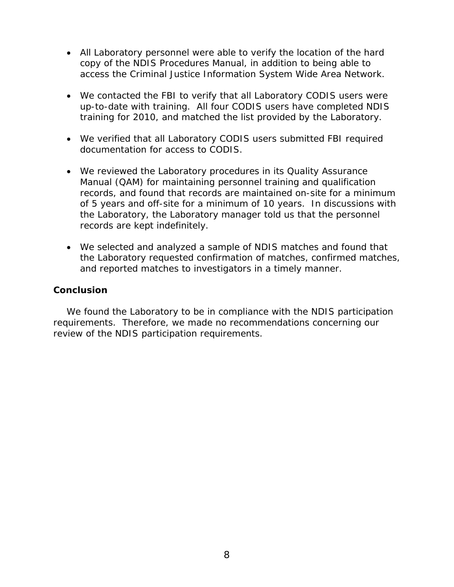- All Laboratory personnel were able to verify the location of the hard copy of the NDIS Procedures Manual, in addition to being able to access the Criminal Justice Information System Wide Area Network.
- We contacted the FBI to verify that all Laboratory CODIS users were up-to-date with training. All four CODIS users have completed NDIS training for 2010, and matched the list provided by the Laboratory.
- We verified that all Laboratory CODIS users submitted FBI required documentation for access to CODIS.
- We reviewed the Laboratory procedures in its Quality Assurance Manual (QAM) for maintaining personnel training and qualification records, and found that records are maintained on-site for a minimum of 5 years and off-site for a minimum of 10 years. In discussions with the Laboratory, the Laboratory manager told us that the personnel records are kept indefinitely.
- We selected and analyzed a sample of NDIS matches and found that the Laboratory requested confirmation of matches, confirmed matches, and reported matches to investigators in a timely manner.

#### **Conclusion**

We found the Laboratory to be in compliance with the NDIS participation requirements. Therefore, we made no recommendations concerning our review of the NDIS participation requirements.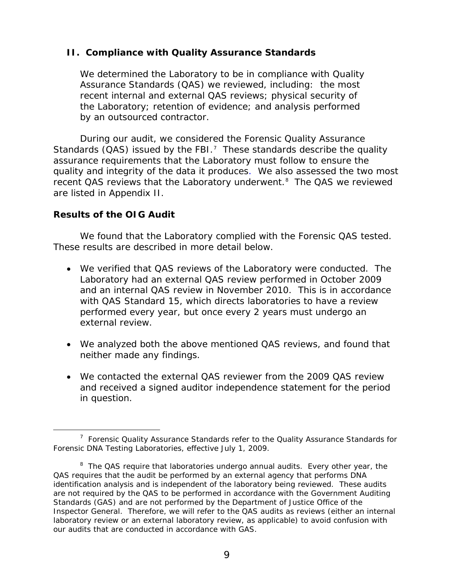#### <span id="page-12-0"></span>**II. Compliance with Quality Assurance Standards**

We determined the Laboratory to be in compliance with Quality Assurance Standards (QAS) we reviewed, including: the most recent internal and external QAS reviews; physical security of the Laboratory; retention of evidence; and analysis performed by an outsourced contractor.

During our audit, we considered the Forensic Quality Assurance Standards (QAS) issued by the FBI.<sup>[7](#page-12-1)</sup> These standards describe the quality assurance requirements that the Laboratory must follow to ensure the quality and integrity of the data it produces. We also assessed the two most recent QAS reviews that the Laboratory underwent.<sup>[8](#page-12-2)</sup> The QAS we reviewed are listed in Appendix II.

#### **Results of the OIG Audit**

We found that the Laboratory complied with the Forensic QAS tested. These results are described in more detail below.

- We verified that QAS reviews of the Laboratory were conducted. The Laboratory had an external QAS review performed in October 2009 and an internal QAS review in November 2010. This is in accordance with QAS Standard 15, which directs laboratories to have a review performed every year, but once every 2 years must undergo an external review.
- We analyzed both the above mentioned QAS reviews, and found that neither made any findings.
- We contacted the external QAS reviewer from the 2009 QAS review and received a signed auditor independence statement for the period in question.

<span id="page-12-1"></span> $\frac{1}{7}$  $7$  Forensic Quality Assurance Standards refer to the Quality Assurance Standards for Forensic DNA Testing Laboratories, effective July 1, 2009.

<span id="page-12-2"></span><sup>&</sup>lt;sup>8</sup> The QAS require that laboratories undergo annual audits. Every other year, the QAS requires that the audit be performed by an external agency that performs DNA identification analysis and is independent of the laboratory being reviewed. These audits are not required by the QAS to be performed in accordance with the *Government Auditing Standards* (GAS) and are not performed by the Department of Justice Office of the Inspector General. Therefore, we will refer to the QAS audits as reviews (either an internal laboratory review or an external laboratory review, as applicable) to avoid confusion with our audits that are conducted in accordance with GAS.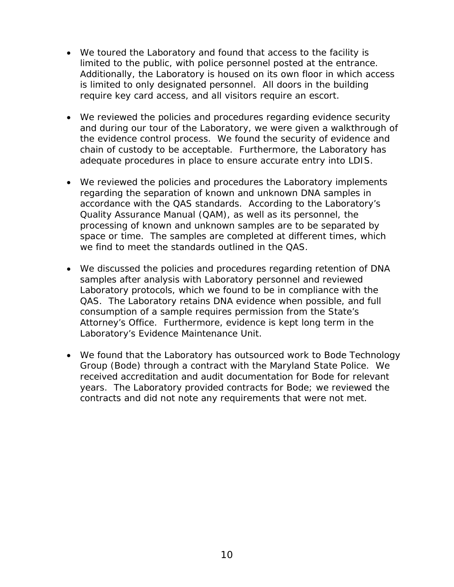- We toured the Laboratory and found that access to the facility is limited to the public, with police personnel posted at the entrance. Additionally, the Laboratory is housed on its own floor in which access is limited to only designated personnel. All doors in the building require key card access, and all visitors require an escort.
- We reviewed the policies and procedures regarding evidence security and during our tour of the Laboratory, we were given a walkthrough of the evidence control process. We found the security of evidence and chain of custody to be acceptable. Furthermore, the Laboratory has adequate procedures in place to ensure accurate entry into LDIS.
- We reviewed the policies and procedures the Laboratory implements regarding the separation of known and unknown DNA samples in accordance with the QAS standards. According to the Laboratory's Quality Assurance Manual (QAM), as well as its personnel, the processing of known and unknown samples are to be separated by space or time. The samples are completed at different times, which we find to meet the standards outlined in the QAS.
- We discussed the policies and procedures regarding retention of DNA samples after analysis with Laboratory personnel and reviewed Laboratory protocols, which we found to be in compliance with the QAS. The Laboratory retains DNA evidence when possible, and full consumption of a sample requires permission from the State's Attorney's Office. Furthermore, evidence is kept long term in the Laboratory's Evidence Maintenance Unit.
- We found that the Laboratory has outsourced work to Bode Technology Group (Bode) through a contract with the Maryland State Police. We received accreditation and audit documentation for Bode for relevant years. The Laboratory provided contracts for Bode; we reviewed the contracts and did not note any requirements that were not met.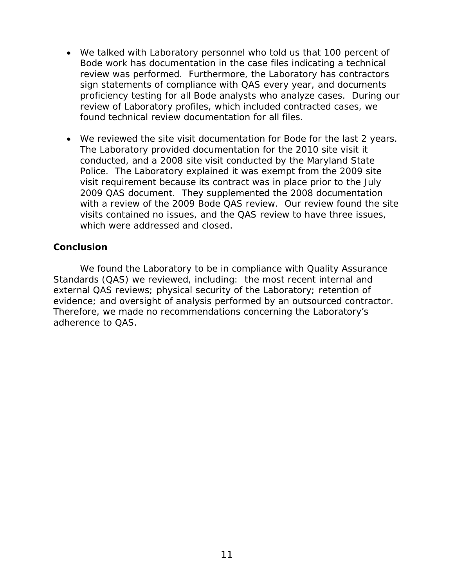- We talked with Laboratory personnel who told us that 100 percent of Bode work has documentation in the case files indicating a technical review was performed. Furthermore, the Laboratory has contractors sign statements of compliance with QAS every year, and documents proficiency testing for all Bode analysts who analyze cases. During our review of Laboratory profiles, which included contracted cases, we found technical review documentation for all files.
- We reviewed the site visit documentation for Bode for the last 2 years. The Laboratory provided documentation for the 2010 site visit it conducted, and a 2008 site visit conducted by the Maryland State Police. The Laboratory explained it was exempt from the 2009 site visit requirement because its contract was in place prior to the July 2009 QAS document. They supplemented the 2008 documentation with a review of the 2009 Bode QAS review. Our review found the site visits contained no issues, and the QAS review to have three issues, which were addressed and closed.

#### **Conclusion**

We found the Laboratory to be in compliance with Quality Assurance Standards (QAS) we reviewed, including: the most recent internal and external QAS reviews; physical security of the Laboratory; retention of evidence; and oversight of analysis performed by an outsourced contractor. Therefore, we made no recommendations concerning the Laboratory's adherence to QAS.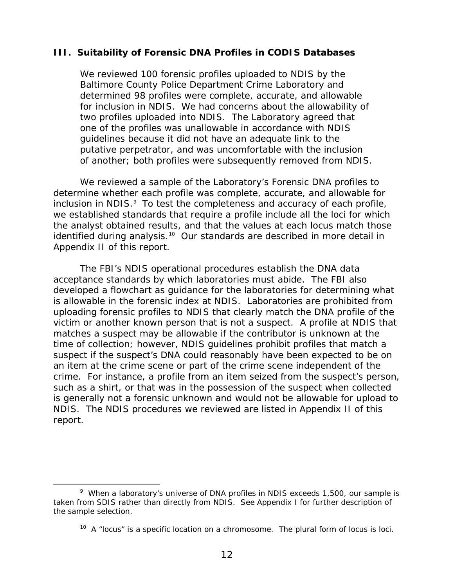#### <span id="page-15-0"></span>**III. Suitability of Forensic DNA Profiles in CODIS Databases**

We reviewed 100 forensic profiles uploaded to NDIS by the Baltimore County Police Department Crime Laboratory and determined 98 profiles were complete, accurate, and allowable for inclusion in NDIS. We had concerns about the allowability of two profiles uploaded into NDIS. The Laboratory agreed that one of the profiles was unallowable in accordance with NDIS guidelines because it did not have an adequate link to the putative perpetrator, and was uncomfortable with the inclusion of another; both profiles were subsequently removed from NDIS.

We reviewed a sample of the Laboratory's Forensic DNA profiles to determine whether each profile was complete, accurate, and allowable for inclusion in NDIS.<sup>[9](#page-15-1)</sup> To test the completeness and accuracy of each profile, we established standards that require a profile include all the loci for which the analyst obtained results, and that the values at each locus match those identified during analysis.<sup>[10](#page-15-2)</sup> Our standards are described in more detail in Appendix II of this report.

The FBI's NDIS operational procedures establish the DNA data acceptance standards by which laboratories must abide. The FBI also developed a flowchart as guidance for the laboratories for determining what is allowable in the forensic index at NDIS. Laboratories are prohibited from uploading forensic profiles to NDIS that clearly match the DNA profile of the victim or another known person that is not a suspect. A profile at NDIS that matches a suspect may be allowable if the contributor is unknown at the time of collection; however, NDIS guidelines prohibit profiles that match a suspect if the suspect's DNA could reasonably have been expected to be on an item at the crime scene or part of the crime scene independent of the crime. For instance, a profile from an item seized from the suspect's person, such as a shirt, or that was in the possession of the suspect when collected is generally not a forensic unknown and would not be allowable for upload to NDIS. The NDIS procedures we reviewed are listed in Appendix II of this report.

<span id="page-15-2"></span><span id="page-15-1"></span> <sup>9</sup>  $9$  When a laboratory's universe of DNA profiles in NDIS exceeds 1,500, our sample is taken from SDIS rather than directly from NDIS. See Appendix I for further description of the sample selection.

 $10$  A "locus" is a specific location on a chromosome. The plural form of locus is loci.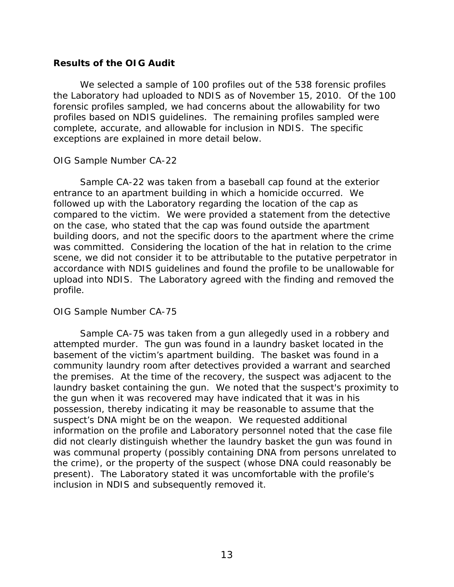#### **Results of the OIG Audit**

We selected a sample of 100 profiles out of the 538 forensic profiles the Laboratory had uploaded to NDIS as of November 15, 2010. Of the 100 forensic profiles sampled, we had concerns about the allowability for two profiles based on NDIS guidelines. The remaining profiles sampled were complete, accurate, and allowable for inclusion in NDIS. The specific exceptions are explained in more detail below.

#### *OIG Sample Number CA-22*

Sample CA-22 was taken from a baseball cap found at the exterior entrance to an apartment building in which a homicide occurred. We followed up with the Laboratory regarding the location of the cap as compared to the victim. We were provided a statement from the detective on the case, who stated that the cap was found outside the apartment building doors, and not the specific doors to the apartment where the crime was committed. Considering the location of the hat in relation to the crime scene, we did not consider it to be attributable to the putative perpetrator in accordance with NDIS guidelines and found the profile to be unallowable for upload into NDIS. The Laboratory agreed with the finding and removed the profile.

#### *OIG Sample Number CA-75*

Sample CA-75 was taken from a gun allegedly used in a robbery and attempted murder. The gun was found in a laundry basket located in the basement of the victim's apartment building. The basket was found in a community laundry room after detectives provided a warrant and searched the premises. At the time of the recovery, the suspect was adjacent to the laundry basket containing the gun. We noted that the suspect's proximity to the gun when it was recovered may have indicated that it was in his possession, thereby indicating it may be reasonable to assume that the suspect's DNA might be on the weapon. We requested additional information on the profile and Laboratory personnel noted that the case file did not clearly distinguish whether the laundry basket the gun was found in was communal property (possibly containing DNA from persons unrelated to the crime), or the property of the suspect (whose DNA could reasonably be present). The Laboratory stated it was uncomfortable with the profile's inclusion in NDIS and subsequently removed it.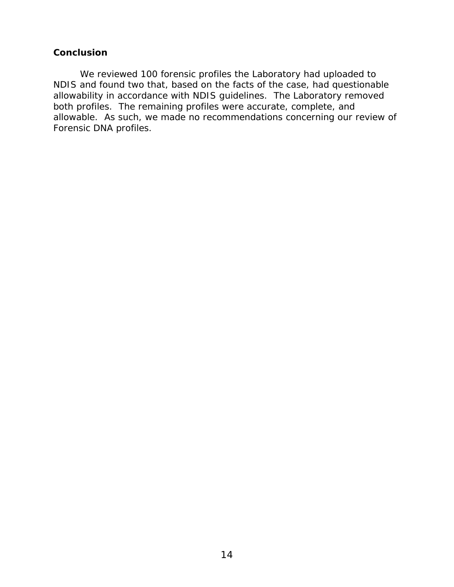#### **Conclusion**

We reviewed 100 forensic profiles the Laboratory had uploaded to NDIS and found two that, based on the facts of the case, had questionable allowability in accordance with NDIS guidelines. The Laboratory removed both profiles. The remaining profiles were accurate, complete, and allowable. As such, we made no recommendations concerning our review of Forensic DNA profiles.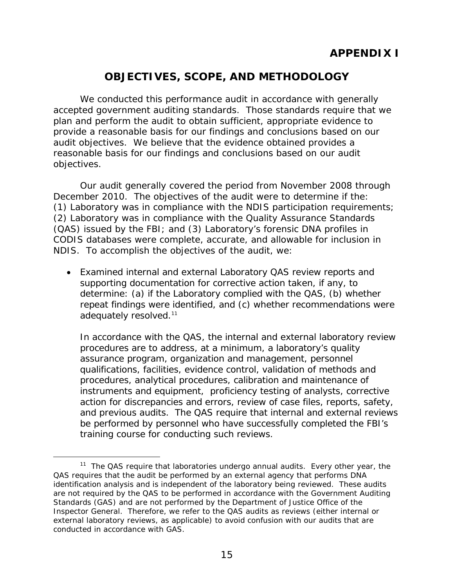# **OBJECTIVES, SCOPE, AND METHODOLOGY**

<span id="page-18-0"></span>We conducted this performance audit in accordance with generally accepted government auditing standards. Those standards require that we plan and perform the audit to obtain sufficient, appropriate evidence to provide a reasonable basis for our findings and conclusions based on our audit objectives. We believe that the evidence obtained provides a reasonable basis for our findings and conclusions based on our audit objectives.

Our audit generally covered the period from November 2008 through December 2010. The objectives of the audit were to determine if the: (1) Laboratory was in compliance with the NDIS participation requirements; (2) Laboratory was in compliance with the Quality Assurance Standards (QAS) issued by the FBI; and (3) Laboratory's forensic DNA profiles in CODIS databases were complete, accurate, and allowable for inclusion in NDIS. To accomplish the objectives of the audit, we:

• Examined internal and external Laboratory QAS review reports and supporting documentation for corrective action taken, if any, to determine: (a) if the Laboratory complied with the QAS, (b) whether repeat findings were identified, and (c) whether recommendations were adequately resolved.<sup>11</sup>

In accordance with the QAS, the internal and external laboratory review procedures are to address, at a minimum, a laboratory's quality assurance program, organization and management, personnel qualifications, facilities, evidence control, validation of methods and procedures, analytical procedures, calibration and maintenance of instruments and equipment, proficiency testing of analysts, corrective action for discrepancies and errors, review of case files, reports, safety, and previous audits. The QAS require that internal and external reviews be performed by personnel who have successfully completed the FBI's training course for conducting such reviews.

<span id="page-18-1"></span> $11$  The QAS require that laboratories undergo annual audits. Every other year, the QAS requires that the audit be performed by an external agency that performs DNA identification analysis and is independent of the laboratory being reviewed. These audits are not required by the QAS to be performed in accordance with the *Government Auditing Standards* (GAS) and are not performed by the Department of Justice Office of the Inspector General. Therefore, we refer to the QAS audits as reviews (either internal or external laboratory reviews, as applicable) to avoid confusion with our audits that are conducted in accordance with GAS.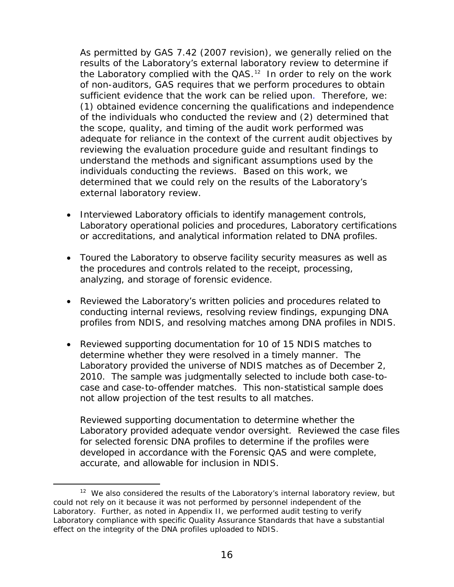As permitted by GAS 7.42 (2007 revision), we generally relied on the results of the Laboratory's external laboratory review to determine if the Laboratory complied with the QAS.<sup>[12](#page-19-0)</sup> In order to rely on the work of non-auditors, GAS requires that we perform procedures to obtain sufficient evidence that the work can be relied upon. Therefore, we: (1) obtained evidence concerning the qualifications and independence of the individuals who conducted the review and (2) determined that the scope, quality, and timing of the audit work performed was adequate for reliance in the context of the current audit objectives by reviewing the evaluation procedure guide and resultant findings to understand the methods and significant assumptions used by the individuals conducting the reviews. Based on this work, we determined that we could rely on the results of the Laboratory's external laboratory review.

- Interviewed Laboratory officials to identify management controls, Laboratory operational policies and procedures, Laboratory certifications or accreditations, and analytical information related to DNA profiles.
- Toured the Laboratory to observe facility security measures as well as the procedures and controls related to the receipt, processing, analyzing, and storage of forensic evidence.
- Reviewed the Laboratory's written policies and procedures related to conducting internal reviews, resolving review findings, expunging DNA profiles from NDIS, and resolving matches among DNA profiles in NDIS.
- Reviewed supporting documentation for 10 of 15 NDIS matches to determine whether they were resolved in a timely manner. The Laboratory provided the universe of NDIS matches as of December 2, 2010. The sample was judgmentally selected to include both case-tocase and case-to-offender matches. This non-statistical sample does not allow projection of the test results to all matches.

Reviewed supporting documentation to determine whether the Laboratory provided adequate vendor oversight. Reviewed the case files for selected forensic DNA profiles to determine if the profiles were developed in accordance with the Forensic QAS and were complete, accurate, and allowable for inclusion in NDIS.

<span id="page-19-0"></span> $12$  We also considered the results of the Laboratory's internal laboratory review, but could not rely on it because it was not performed by personnel independent of the Laboratory. Further, as noted in Appendix II, we performed audit testing to verify Laboratory compliance with specific Quality Assurance Standards that have a substantial effect on the integrity of the DNA profiles uploaded to NDIS.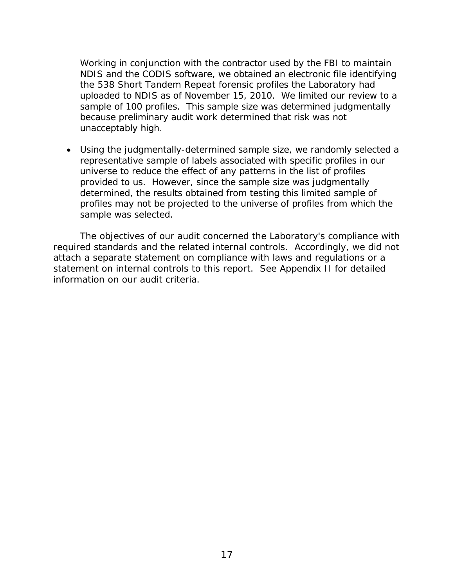Working in conjunction with the contractor used by the FBI to maintain NDIS and the CODIS software, we obtained an electronic file identifying the 538 Short Tandem Repeat forensic profiles the Laboratory had uploaded to NDIS as of November 15, 2010. We limited our review to a sample of 100 profiles. This sample size was determined judgmentally because preliminary audit work determined that risk was not unacceptably high.

• Using the judgmentally-determined sample size, we randomly selected a representative sample of labels associated with specific profiles in our universe to reduce the effect of any patterns in the list of profiles provided to us. However, since the sample size was judgmentally determined, the results obtained from testing this limited sample of profiles may not be projected to the universe of profiles from which the sample was selected.

The objectives of our audit concerned the Laboratory's compliance with required standards and the related internal controls. Accordingly, we did not attach a separate statement on compliance with laws and regulations or a statement on internal controls to this report. See Appendix II for detailed information on our audit criteria.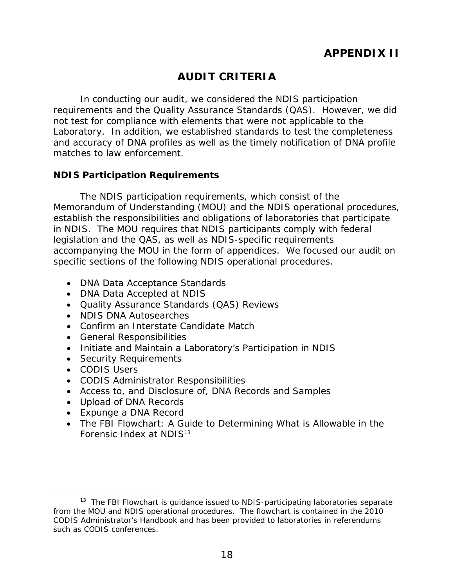# **AUDIT CRITERIA**

<span id="page-21-0"></span>In conducting our audit, we considered the NDIS participation requirements and the Quality Assurance Standards (QAS). However, we did not test for compliance with elements that were not applicable to the Laboratory. In addition, we established standards to test the completeness and accuracy of DNA profiles as well as the timely notification of DNA profile matches to law enforcement.

#### **NDIS Participation Requirements**

The NDIS participation requirements, which consist of the Memorandum of Understanding (MOU) and the NDIS operational procedures, establish the responsibilities and obligations of laboratories that participate in NDIS. The MOU requires that NDIS participants comply with federal legislation and the QAS, as well as NDIS-specific requirements accompanying the MOU in the form of appendices. We focused our audit on specific sections of the following NDIS operational procedures.

- DNA Data Acceptance Standards
- DNA Data Accepted at NDIS
- Quality Assurance Standards (QAS) Reviews
- NDIS DNA Autosearches
- Confirm an Interstate Candidate Match
- General Responsibilities
- Initiate and Maintain a Laboratory's Participation in NDIS
- Security Requirements
- CODIS Users
- CODIS Administrator Responsibilities
- Access to, and Disclosure of, DNA Records and Samples
- Upload of DNA Records
- Expunge a DNA Record
- The FBI Flowchart: A Guide to Determining What is Allowable in the Forensic Index at NDIS<sup>[13](#page-21-1)</sup>

<span id="page-21-1"></span><sup>&</sup>lt;sup>13</sup> The FBI Flowchart is guidance issued to NDIS-participating laboratories separate from the MOU and NDIS operational procedures. The flowchart is contained in the 2010 CODIS Administrator's Handbook and has been provided to laboratories in referendums such as CODIS conferences.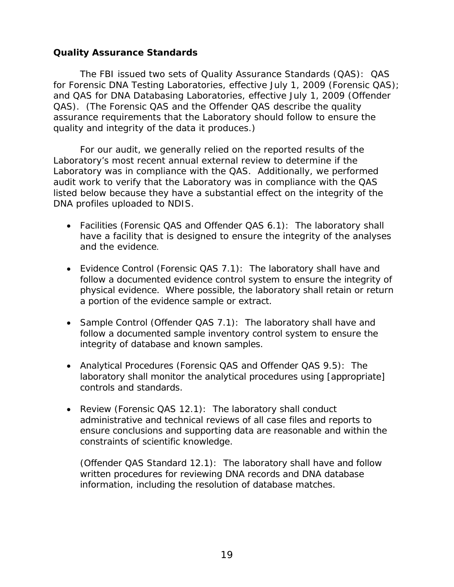#### **Quality Assurance Standards**

The FBI issued two sets of Quality Assurance Standards (QAS): QAS for Forensic DNA Testing Laboratories, effective July 1, 2009 (Forensic QAS); and QAS for DNA Databasing Laboratories, effective July 1, 2009 (Offender QAS). (The Forensic QAS and the Offender QAS describe the quality assurance requirements that the Laboratory should follow to ensure the quality and integrity of the data it produces.)

For our audit, we generally relied on the reported results of the Laboratory's most recent annual external review to determine if the Laboratory was in compliance with the QAS. Additionally, we performed audit work to verify that the Laboratory was in compliance with the QAS listed below because they have a substantial effect on the integrity of the DNA profiles uploaded to NDIS.

- Facilities (Forensic QAS and Offender QAS 6.1): The laboratory shall have a facility that is designed to ensure the integrity of the analyses and the evidence.
- Evidence Control (Forensic QAS 7.1): The laboratory shall have and follow a documented evidence control system to ensure the integrity of physical evidence. Where possible, the laboratory shall retain or return a portion of the evidence sample or extract.
- Sample Control (Offender QAS 7.1): The laboratory shall have and follow a documented sample inventory control system to ensure the integrity of database and known samples.
- Analytical Procedures (Forensic QAS and Offender QAS 9.5): The laboratory shall monitor the analytical procedures using [appropriate] controls and standards.
- Review (Forensic QAS 12.1): The laboratory shall conduct administrative and technical reviews of all case files and reports to ensure conclusions and supporting data are reasonable and within the constraints of scientific knowledge.

(Offender QAS Standard 12.1): The laboratory shall have and follow written procedures for reviewing DNA records and DNA database information, including the resolution of database matches.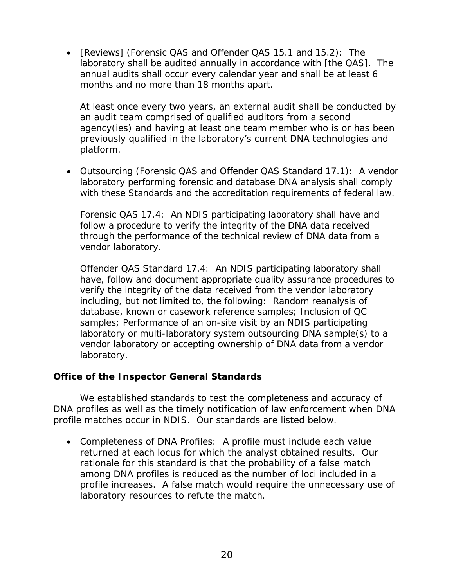• [Reviews] (Forensic QAS and Offender QAS 15.1 and 15.2): The laboratory shall be audited annually in accordance with [the QAS]. The annual audits shall occur every calendar year and shall be at least 6 months and no more than 18 months apart.

At least once every two years, an external audit shall be conducted by an audit team comprised of qualified auditors from a second agency(ies) and having at least one team member who is or has been previously qualified in the laboratory's current DNA technologies and platform.

• Outsourcing (Forensic QAS and Offender QAS Standard 17.1): A vendor laboratory performing forensic and database DNA analysis shall comply with these Standards and the accreditation requirements of federal law.

Forensic QAS 17.4: An NDIS participating laboratory shall have and follow a procedure to verify the integrity of the DNA data received through the performance of the technical review of DNA data from a vendor laboratory.

Offender QAS Standard 17.4: An NDIS participating laboratory shall have, follow and document appropriate quality assurance procedures to verify the integrity of the data received from the vendor laboratory including, but not limited to, the following: Random reanalysis of database, known or casework reference samples; Inclusion of QC samples; Performance of an on-site visit by an NDIS participating laboratory or multi-laboratory system outsourcing DNA sample(s) to a vendor laboratory or accepting ownership of DNA data from a vendor laboratory.

### **Office of the Inspector General Standards**

We established standards to test the completeness and accuracy of DNA profiles as well as the timely notification of law enforcement when DNA profile matches occur in NDIS. Our standards are listed below.

• Completeness of DNA Profiles: A profile must include each value returned at each locus for which the analyst obtained results. Our rationale for this standard is that the probability of a false match among DNA profiles is reduced as the number of loci included in a profile increases. A false match would require the unnecessary use of laboratory resources to refute the match.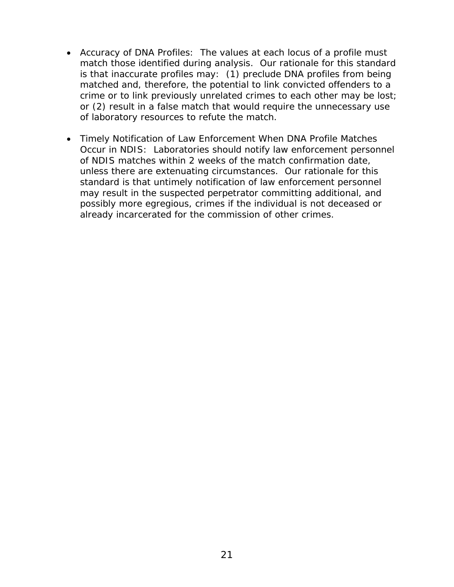- Accuracy of DNA Profiles: The values at each locus of a profile must match those identified during analysis. Our rationale for this standard is that inaccurate profiles may: (1) preclude DNA profiles from being matched and, therefore, the potential to link convicted offenders to a crime or to link previously unrelated crimes to each other may be lost; or (2) result in a false match that would require the unnecessary use of laboratory resources to refute the match.
- Timely Notification of Law Enforcement When DNA Profile Matches Occur in NDIS: Laboratories should notify law enforcement personnel of NDIS matches within 2 weeks of the match confirmation date, unless there are extenuating circumstances. Our rationale for this standard is that untimely notification of law enforcement personnel may result in the suspected perpetrator committing additional, and possibly more egregious, crimes if the individual is not deceased or already incarcerated for the commission of other crimes.